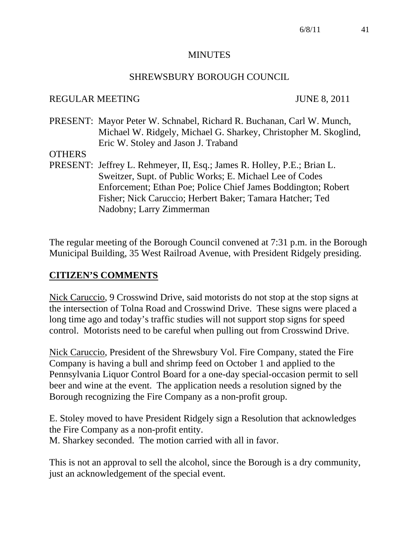#### **MINUTES**

#### SHREWSBURY BOROUGH COUNCIL

#### REGULAR MEETING JUNE 8, 2011

PRESENT: Mayor Peter W. Schnabel, Richard R. Buchanan, Carl W. Munch, Michael W. Ridgely, Michael G. Sharkey, Christopher M. Skoglind, Eric W. Stoley and Jason J. Traband

#### **OTHERS**

PRESENT: Jeffrey L. Rehmeyer, II, Esq.; James R. Holley, P.E.; Brian L. Sweitzer, Supt. of Public Works; E. Michael Lee of Codes Enforcement; Ethan Poe; Police Chief James Boddington; Robert Fisher; Nick Caruccio; Herbert Baker; Tamara Hatcher; Ted Nadobny; Larry Zimmerman

The regular meeting of the Borough Council convened at 7:31 p.m. in the Borough Municipal Building, 35 West Railroad Avenue, with President Ridgely presiding.

#### **CITIZEN'S COMMENTS**

Nick Caruccio, 9 Crosswind Drive, said motorists do not stop at the stop signs at the intersection of Tolna Road and Crosswind Drive. These signs were placed a long time ago and today's traffic studies will not support stop signs for speed control. Motorists need to be careful when pulling out from Crosswind Drive.

Nick Caruccio, President of the Shrewsbury Vol. Fire Company, stated the Fire Company is having a bull and shrimp feed on October 1 and applied to the Pennsylvania Liquor Control Board for a one-day special-occasion permit to sell beer and wine at the event. The application needs a resolution signed by the Borough recognizing the Fire Company as a non-profit group.

E. Stoley moved to have President Ridgely sign a Resolution that acknowledges the Fire Company as a non-profit entity. M. Sharkey seconded. The motion carried with all in favor.

This is not an approval to sell the alcohol, since the Borough is a dry community, just an acknowledgement of the special event.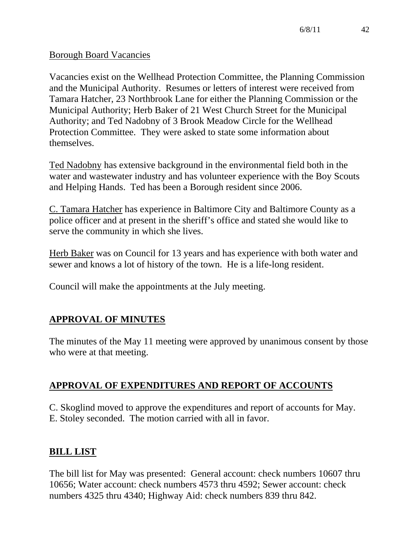### Borough Board Vacancies

Vacancies exist on the Wellhead Protection Committee, the Planning Commission and the Municipal Authority. Resumes or letters of interest were received from Tamara Hatcher, 23 Northbrook Lane for either the Planning Commission or the Municipal Authority; Herb Baker of 21 West Church Street for the Municipal Authority; and Ted Nadobny of 3 Brook Meadow Circle for the Wellhead Protection Committee. They were asked to state some information about themselves.

Ted Nadobny has extensive background in the environmental field both in the water and wastewater industry and has volunteer experience with the Boy Scouts and Helping Hands. Ted has been a Borough resident since 2006.

C. Tamara Hatcher has experience in Baltimore City and Baltimore County as a police officer and at present in the sheriff's office and stated she would like to serve the community in which she lives.

Herb Baker was on Council for 13 years and has experience with both water and sewer and knows a lot of history of the town. He is a life-long resident.

Council will make the appointments at the July meeting.

# **APPROVAL OF MINUTES**

The minutes of the May 11 meeting were approved by unanimous consent by those who were at that meeting.

# **APPROVAL OF EXPENDITURES AND REPORT OF ACCOUNTS**

C. Skoglind moved to approve the expenditures and report of accounts for May. E. Stoley seconded. The motion carried with all in favor.

# **BILL LIST**

The bill list for May was presented: General account: check numbers 10607 thru 10656; Water account: check numbers 4573 thru 4592; Sewer account: check numbers 4325 thru 4340; Highway Aid: check numbers 839 thru 842.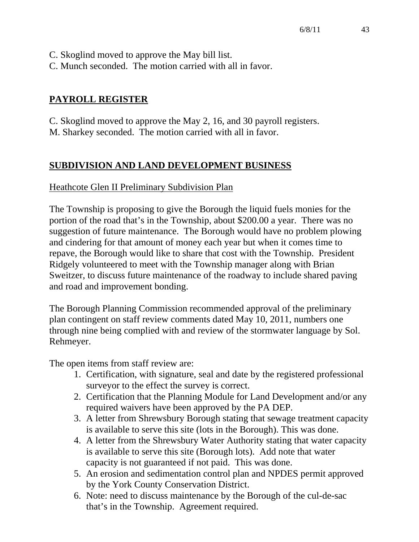- C. Skoglind moved to approve the May bill list.
- C. Munch seconded. The motion carried with all in favor.

# **PAYROLL REGISTER**

C. Skoglind moved to approve the May 2, 16, and 30 payroll registers. M. Sharkey seconded. The motion carried with all in favor.

# **SUBDIVISION AND LAND DEVELOPMENT BUSINESS**

# Heathcote Glen II Preliminary Subdivision Plan

The Township is proposing to give the Borough the liquid fuels monies for the portion of the road that's in the Township, about \$200.00 a year. There was no suggestion of future maintenance. The Borough would have no problem plowing and cindering for that amount of money each year but when it comes time to repave, the Borough would like to share that cost with the Township. President Ridgely volunteered to meet with the Township manager along with Brian Sweitzer, to discuss future maintenance of the roadway to include shared paving and road and improvement bonding.

The Borough Planning Commission recommended approval of the preliminary plan contingent on staff review comments dated May 10, 2011, numbers one through nine being complied with and review of the stormwater language by Sol. Rehmeyer.

The open items from staff review are:

- 1. Certification, with signature, seal and date by the registered professional surveyor to the effect the survey is correct.
- 2. Certification that the Planning Module for Land Development and/or any required waivers have been approved by the PA DEP.
- 3. A letter from Shrewsbury Borough stating that sewage treatment capacity is available to serve this site (lots in the Borough). This was done.
- 4. A letter from the Shrewsbury Water Authority stating that water capacity is available to serve this site (Borough lots). Add note that water capacity is not guaranteed if not paid. This was done.
- 5. An erosion and sedimentation control plan and NPDES permit approved by the York County Conservation District.
- 6. Note: need to discuss maintenance by the Borough of the cul-de-sac that's in the Township. Agreement required.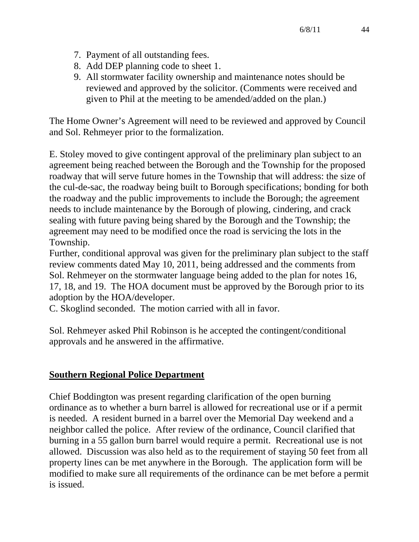- 7. Payment of all outstanding fees.
- 8. Add DEP planning code to sheet 1.
- 9. All stormwater facility ownership and maintenance notes should be reviewed and approved by the solicitor. (Comments were received and given to Phil at the meeting to be amended/added on the plan.)

The Home Owner's Agreement will need to be reviewed and approved by Council and Sol. Rehmeyer prior to the formalization.

E. Stoley moved to give contingent approval of the preliminary plan subject to an agreement being reached between the Borough and the Township for the proposed roadway that will serve future homes in the Township that will address: the size of the cul-de-sac, the roadway being built to Borough specifications; bonding for both the roadway and the public improvements to include the Borough; the agreement needs to include maintenance by the Borough of plowing, cindering, and crack sealing with future paving being shared by the Borough and the Township; the agreement may need to be modified once the road is servicing the lots in the Township.

Further, conditional approval was given for the preliminary plan subject to the staff review comments dated May 10, 2011, being addressed and the comments from Sol. Rehmeyer on the stormwater language being added to the plan for notes 16, 17, 18, and 19. The HOA document must be approved by the Borough prior to its adoption by the HOA/developer.

C. Skoglind seconded. The motion carried with all in favor.

Sol. Rehmeyer asked Phil Robinson is he accepted the contingent/conditional approvals and he answered in the affirmative.

### **Southern Regional Police Department**

Chief Boddington was present regarding clarification of the open burning ordinance as to whether a burn barrel is allowed for recreational use or if a permit is needed. A resident burned in a barrel over the Memorial Day weekend and a neighbor called the police. After review of the ordinance, Council clarified that burning in a 55 gallon burn barrel would require a permit. Recreational use is not allowed. Discussion was also held as to the requirement of staying 50 feet from all property lines can be met anywhere in the Borough. The application form will be modified to make sure all requirements of the ordinance can be met before a permit is issued.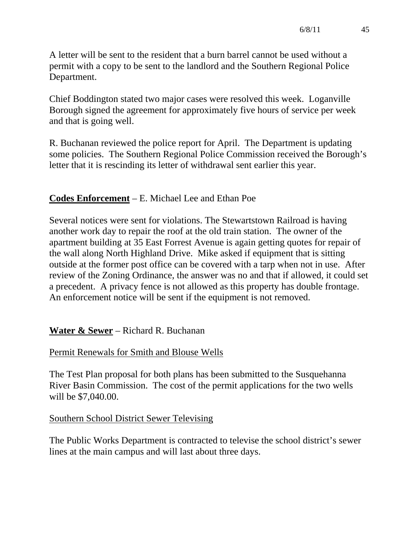A letter will be sent to the resident that a burn barrel cannot be used without a permit with a copy to be sent to the landlord and the Southern Regional Police Department.

Chief Boddington stated two major cases were resolved this week. Loganville Borough signed the agreement for approximately five hours of service per week and that is going well.

R. Buchanan reviewed the police report for April. The Department is updating some policies. The Southern Regional Police Commission received the Borough's letter that it is rescinding its letter of withdrawal sent earlier this year.

# **Codes Enforcement** – E. Michael Lee and Ethan Poe

Several notices were sent for violations. The Stewartstown Railroad is having another work day to repair the roof at the old train station. The owner of the apartment building at 35 East Forrest Avenue is again getting quotes for repair of the wall along North Highland Drive. Mike asked if equipment that is sitting outside at the former post office can be covered with a tarp when not in use. After review of the Zoning Ordinance, the answer was no and that if allowed, it could set a precedent. A privacy fence is not allowed as this property has double frontage. An enforcement notice will be sent if the equipment is not removed.

# **Water & Sewer** – Richard R. Buchanan

### Permit Renewals for Smith and Blouse Wells

The Test Plan proposal for both plans has been submitted to the Susquehanna River Basin Commission. The cost of the permit applications for the two wells will be \$7,040.00.

### Southern School District Sewer Televising

The Public Works Department is contracted to televise the school district's sewer lines at the main campus and will last about three days.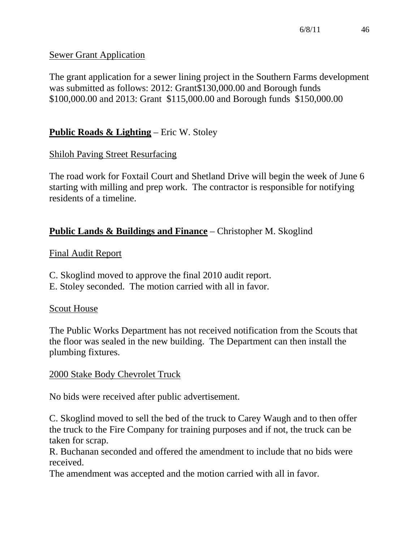# Sewer Grant Application

The grant application for a sewer lining project in the Southern Farms development was submitted as follows: 2012: Grant\$130,000.00 and Borough funds \$100,000.00 and 2013: Grant \$115,000.00 and Borough funds \$150,000.00

# **Public Roads & Lighting** – Eric W. Stoley

# Shiloh Paving Street Resurfacing

The road work for Foxtail Court and Shetland Drive will begin the week of June 6 starting with milling and prep work. The contractor is responsible for notifying residents of a timeline.

# **Public Lands & Buildings and Finance** – Christopher M. Skoglind

# Final Audit Report

- C. Skoglind moved to approve the final 2010 audit report.
- E. Stoley seconded. The motion carried with all in favor.

### Scout House

The Public Works Department has not received notification from the Scouts that the floor was sealed in the new building. The Department can then install the plumbing fixtures.

# 2000 Stake Body Chevrolet Truck

No bids were received after public advertisement.

C. Skoglind moved to sell the bed of the truck to Carey Waugh and to then offer the truck to the Fire Company for training purposes and if not, the truck can be taken for scrap.

R. Buchanan seconded and offered the amendment to include that no bids were received.

The amendment was accepted and the motion carried with all in favor.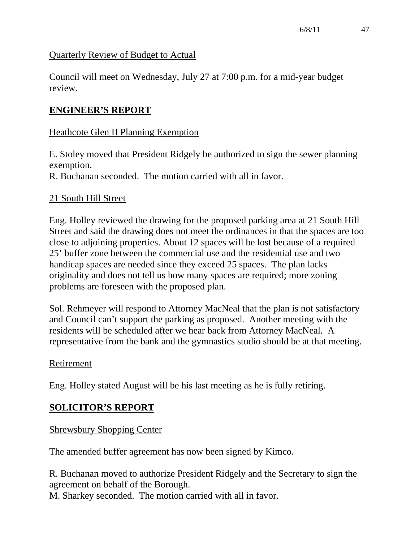### Quarterly Review of Budget to Actual

Council will meet on Wednesday, July 27 at 7:00 p.m. for a mid-year budget review.

# **ENGINEER'S REPORT**

## Heathcote Glen II Planning Exemption

E. Stoley moved that President Ridgely be authorized to sign the sewer planning exemption.

R. Buchanan seconded. The motion carried with all in favor.

### 21 South Hill Street

Eng. Holley reviewed the drawing for the proposed parking area at 21 South Hill Street and said the drawing does not meet the ordinances in that the spaces are too close to adjoining properties. About 12 spaces will be lost because of a required 25' buffer zone between the commercial use and the residential use and two handicap spaces are needed since they exceed 25 spaces. The plan lacks originality and does not tell us how many spaces are required; more zoning problems are foreseen with the proposed plan.

Sol. Rehmeyer will respond to Attorney MacNeal that the plan is not satisfactory and Council can't support the parking as proposed. Another meeting with the residents will be scheduled after we hear back from Attorney MacNeal. A representative from the bank and the gymnastics studio should be at that meeting.

### Retirement

Eng. Holley stated August will be his last meeting as he is fully retiring.

# **SOLICITOR'S REPORT**

Shrewsbury Shopping Center

The amended buffer agreement has now been signed by Kimco.

R. Buchanan moved to authorize President Ridgely and the Secretary to sign the agreement on behalf of the Borough.

M. Sharkey seconded. The motion carried with all in favor.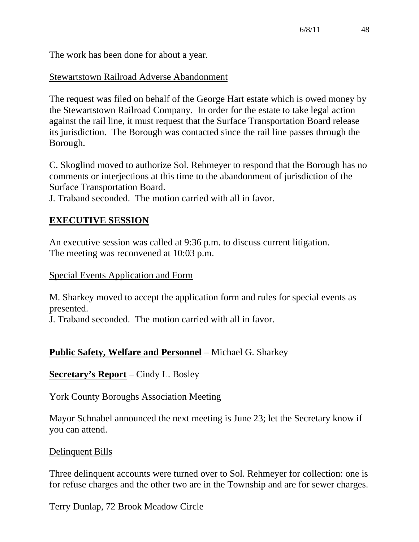The work has been done for about a year.

### Stewartstown Railroad Adverse Abandonment

The request was filed on behalf of the George Hart estate which is owed money by the Stewartstown Railroad Company. In order for the estate to take legal action against the rail line, it must request that the Surface Transportation Board release its jurisdiction. The Borough was contacted since the rail line passes through the Borough.

C. Skoglind moved to authorize Sol. Rehmeyer to respond that the Borough has no comments or interjections at this time to the abandonment of jurisdiction of the Surface Transportation Board.

J. Traband seconded. The motion carried with all in favor.

### **EXECUTIVE SESSION**

An executive session was called at 9:36 p.m. to discuss current litigation. The meeting was reconvened at 10:03 p.m.

#### Special Events Application and Form

M. Sharkey moved to accept the application form and rules for special events as presented.

J. Traband seconded. The motion carried with all in favor.

### **Public Safety, Welfare and Personnel** – Michael G. Sharkey

**Secretary's Report** – Cindy L. Bosley

### York County Boroughs Association Meeting

Mayor Schnabel announced the next meeting is June 23; let the Secretary know if you can attend.

### Delinquent Bills

Three delinquent accounts were turned over to Sol. Rehmeyer for collection: one is for refuse charges and the other two are in the Township and are for sewer charges.

Terry Dunlap, 72 Brook Meadow Circle